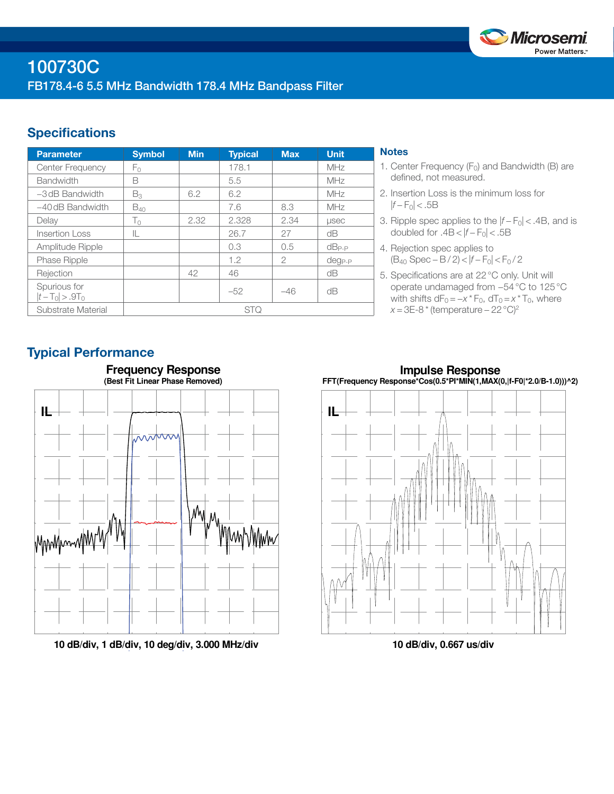

# **Specifications**

| <b>Parameter</b>                  | <b>Symbol</b>  | <b>Min</b> | <b>Typical</b> | <b>Max</b>    | <b>Unit</b>  |
|-----------------------------------|----------------|------------|----------------|---------------|--------------|
| <b>Center Frequency</b>           | Fο             |            | 178.1          |               | MHz          |
| <b>Bandwidth</b>                  | B              |            | 5.5            |               | MHz          |
| $-3$ dB Bandwidth                 | $B_3$          | 6.2        | 6.2            |               | MHz          |
| $-40$ dB Bandwidth                | $B_{40}$       |            | 7.6            | 8.3           | MHz          |
| Delay                             | T <sub>0</sub> | 2.32       | 2.328          | 2.34          | <b>LISEC</b> |
| Insertion Loss                    | IL             |            | 26.7           | 27            | dΒ           |
| Amplitude Ripple                  |                |            | 0.3            | 0.5           | $dB_{P-P}$   |
| <b>Phase Ripple</b>               |                |            | 1.2            | $\mathcal{P}$ | $deg_{P-P}$  |
| Rejection                         |                | 42         | 46             |               | dB           |
| Spurious for<br>$ t-T_0  > .9T_0$ |                |            | $-52$          | $-46$         | dB           |
| Substrate Material                | <b>STQ</b>     |            |                |               |              |

## **Notes**

- 1. Center Frequency  $(F_0)$  and Bandwidth (B) are defined, not measured.
- 2. Insertion Loss is the minimum loss for  $|f - F_0|$  < .5B
- 3. Ripple spec applies to the  $|f F_0|$  < .4B, and is doubled for  $.4B < |f - F_0| < .5B$
- 4. Rejection spec applies to (B40 Spec − B / 2) < |*f* − F0| < F0 / 2
- 5. Specifications are at 22°C only. Unit will operate undamaged from −54°C to 125°C with shifts  $dF_0 = -x * F_0$ ,  $dT_0 = x * T_0$ , where *x* = 3E-8 \* (temperature – 22 °C)<sup>2</sup>

# Typical Performance



**10 dB/div, 1 dB/div, 10 deg/div, 3.000 MHz/div**

**Impulse Response FFT(Frequency Response\*Cos(0.5\*PI\*MIN(1,MAX(0,|f-F0|\*2.0/B-1.0)))^2)**



**10 dB/div, 0.667 us/div**